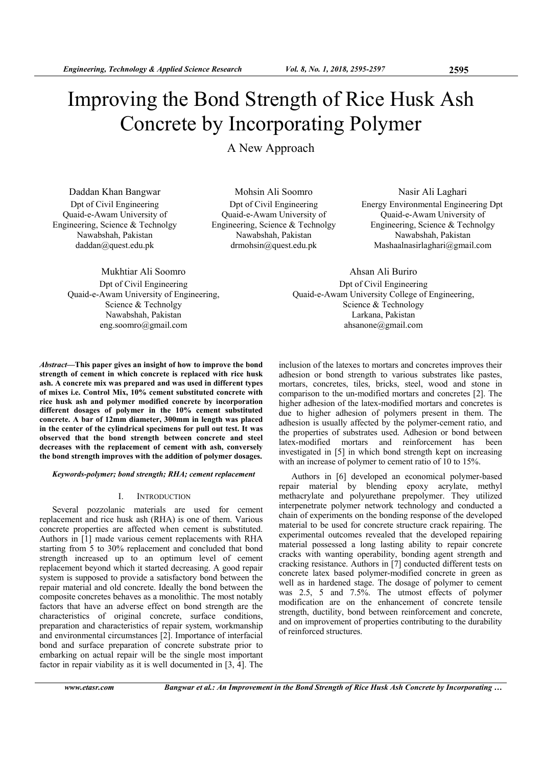# Improving the Bond Strength of Rice Husk Ash Concrete by Incorporating Polymer

A New Approach

Daddan Khan Bangwar Dpt of Civil Engineering Quaid-e-Awam University of Engineering, Science & Technolgy Nawabshah, Pakistan daddan@quest.edu.pk

Mohsin Ali Soomro Dpt of Civil Engineering Quaid-e-Awam University of Engineering, Science & Technolgy Nawabshah, Pakistan drmohsin@quest.edu.pk

Nasir Ali Laghari Energy Environmental Engineering Dpt Quaid-e-Awam University of Engineering, Science & Technolgy Nawabshah, Pakistan Mashaalnasirlaghari@gmail.com

Ahsan Ali Buriro Dpt of Civil Engineering Quaid-e-Awam University College of Engineering, Science & Technology Larkana, Pakistan ahsanone@gmail.com

Mukhtiar Ali Soomro Dpt of Civil Engineering Quaid-e-Awam University of Engineering, Science & Technolgy Nawabshah, Pakistan eng.soomro@gmail.com

*Abstract***—This paper gives an insight of how to improve the bond strength of cement in which concrete is replaced with rice husk ash. A concrete mix was prepared and was used in different types of mixes i.e. Control Mix, 10% cement substituted concrete with rice husk ash and polymer modified concrete by incorporation different dosages of polymer in the 10% cement substituted concrete. A bar of 12mm diameter, 300mm in length was placed in the center of the cylindrical specimens for pull out test. It was observed that the bond strength between concrete and steel decreases with the replacement of cement with ash, conversely the bond strength improves with the addition of polymer dosages.** 

*Keywords-polymer; bond strength; RHA; cement replacement* 

## I. INTRODUCTION

Several pozzolanic materials are used for cement replacement and rice husk ash (RHA) is one of them. Various concrete properties are affected when cement is substituted. Authors in [1] made various cement replacements with RHA starting from 5 to 30% replacement and concluded that bond strength increased up to an optimum level of cement replacement beyond which it started decreasing. A good repair system is supposed to provide a satisfactory bond between the repair material and old concrete. Ideally the bond between the composite concretes behaves as a monolithic. The most notably factors that have an adverse effect on bond strength are the characteristics of original concrete, surface conditions, preparation and characteristics of repair system, workmanship and environmental circumstances [2]. Importance of interfacial bond and surface preparation of concrete substrate prior to embarking on actual repair will be the single most important factor in repair viability as it is well documented in [3, 4]. The

inclusion of the latexes to mortars and concretes improves their adhesion or bond strength to various substrates like pastes, mortars, concretes, tiles, bricks, steel, wood and stone in comparison to the un-modified mortars and concretes [2]. The higher adhesion of the latex-modified mortars and concretes is due to higher adhesion of polymers present in them. The adhesion is usually affected by the polymer-cement ratio, and the properties of substrates used. Adhesion or bond between latex-modified mortars and reinforcement has been investigated in [5] in which bond strength kept on increasing with an increase of polymer to cement ratio of 10 to 15%.

Authors in [6] developed an economical polymer-based repair material by blending epoxy acrylate, methyl methacrylate and polyurethane prepolymer. They utilized interpenetrate polymer network technology and conducted a chain of experiments on the bonding response of the developed material to be used for concrete structure crack repairing. The experimental outcomes revealed that the developed repairing material possessed a long lasting ability to repair concrete cracks with wanting operability, bonding agent strength and cracking resistance. Authors in [7] conducted different tests on concrete latex based polymer-modified concrete in green as well as in hardened stage. The dosage of polymer to cement was 2.5, 5 and 7.5%. The utmost effects of polymer modification are on the enhancement of concrete tensile strength, ductility, bond between reinforcement and concrete, and on improvement of properties contributing to the durability of reinforced structures.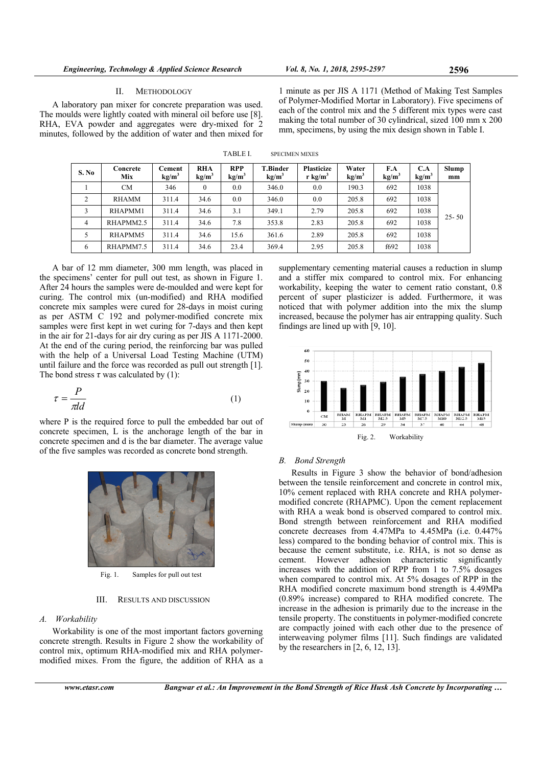## II. METHODOLOGY

A laboratory pan mixer for concrete preparation was used. The moulds were lightly coated with mineral oil before use [8]. RHA, EVA powder and aggregates were dry-mixed for 2 minutes, followed by the addition of water and then mixed for

1 minute as per JIS A 1171 (Method of Making Test Samples of Polymer-Modified Mortar in Laboratory). Five specimens of each of the control mix and the 5 different mix types were cast making the total number of 30 cylindrical, sized 100 mm x 200 mm, specimens, by using the mix design shown in Table I.

| S. No          | Concrete<br>Mix | Cement<br>kg/m <sup>3</sup> | <b>RHA</b><br>kg/m <sup>3</sup> | <b>RPP</b><br>kg/m <sup>3</sup> | T.Binder<br>kg/m <sup>3</sup> | <b>Plasticize</b><br>r $\text{kg/m}^3$ | Water<br>kg/m <sup>3</sup> | F.A<br>kg/m <sup>3</sup> | C.A<br>kg/m <sup>3</sup> | Slump<br>mm |
|----------------|-----------------|-----------------------------|---------------------------------|---------------------------------|-------------------------------|----------------------------------------|----------------------------|--------------------------|--------------------------|-------------|
|                | CМ              | 346                         |                                 | 0.0                             | 346.0                         | 0.0                                    | 190.3                      | 692                      | 1038                     | $25 - 50$   |
| 2              | RHAMM           | 311.4                       | 34.6                            | 0.0                             | 346.0                         | 0.0                                    | 205.8                      | 692                      | 1038                     |             |
| 3              | RHAPMM1         | 311.4                       | 34.6                            | 3.1                             | 349.1                         | 2.79                                   | 205.8                      | 692                      | 1038                     |             |
| $\overline{4}$ | RHAPMM2.5       | 311.4                       | 34.6                            | 7.8                             | 353.8                         | 2.83                                   | 205.8                      | 692                      | 1038                     |             |
| 5              | RHAPMM5         | 311.4                       | 34.6                            | 15.6                            | 361.6                         | 2.89                                   | 205.8                      | 692                      | 1038                     |             |
| 6              | RHAPMM7.5       | 311.4                       | 34.6                            | 23.4                            | 369.4                         | 2.95                                   | 205.8                      | f692                     | 1038                     |             |

TABLE I. SPECIMEN MIXES

A bar of 12 mm diameter, 300 mm length, was placed in the specimens' center for pull out test, as shown in Figure 1. After 24 hours the samples were de-moulded and were kept for curing. The control mix (un-modified) and RHA modified concrete mix samples were cured for 28-days in moist curing as per ASTM C 192 and polymer-modified concrete mix samples were first kept in wet curing for 7-days and then kept in the air for 21-days for air dry curing as per JIS A 1171-2000. At the end of the curing period, the reinforcing bar was pulled with the help of a Universal Load Testing Machine (UTM) until failure and the force was recorded as pull out strength [1]. The bond stress  $\tau$  was calculated by (1):

$$
\tau = \frac{P}{\pi d}
$$
 (1)

where P is the required force to pull the embedded bar out of concrete specimen, L is the anchorage length of the bar in concrete specimen and d is the bar diameter. The average value of the five samples was recorded as concrete bond strength.



Fig. 1. Samples for pull out test

III. RESULTS AND DISCUSSION

## *A. Workability*

Workability is one of the most important factors governing concrete strength. Results in Figure 2 show the workability of control mix, optimum RHA-modified mix and RHA polymermodified mixes. From the figure, the addition of RHA as a

supplementary cementing material causes a reduction in slump and a stiffer mix compared to control mix. For enhancing workability, keeping the water to cement ratio constant, 0.8 percent of super plasticizer is added. Furthermore, it was noticed that with polymer addition into the mix the slump increased, because the polymer has air entrapping quality. Such findings are lined up with [9, 10].



## *B. Bond Strength*

Results in Figure 3 show the behavior of bond/adhesion between the tensile reinforcement and concrete in control mix, 10% cement replaced with RHA concrete and RHA polymermodified concrete (RHAPMC). Upon the cement replacement with RHA a weak bond is observed compared to control mix. Bond strength between reinforcement and RHA modified concrete decreases from 4.47MPa to 4.45MPa (i.e. 0.447% less) compared to the bonding behavior of control mix. This is because the cement substitute, i.e. RHA, is not so dense as cement. However adhesion characteristic significantly increases with the addition of RPP from 1 to 7.5% dosages when compared to control mix. At 5% dosages of RPP in the RHA modified concrete maximum bond strength is 4.49MPa (0.89% increase) compared to RHA modified concrete. The increase in the adhesion is primarily due to the increase in the tensile property. The constituents in polymer-modified concrete are compactly joined with each other due to the presence of interweaving polymer films [11]. Such findings are validated by the researchers in  $[2, 6, 12, 13]$ .